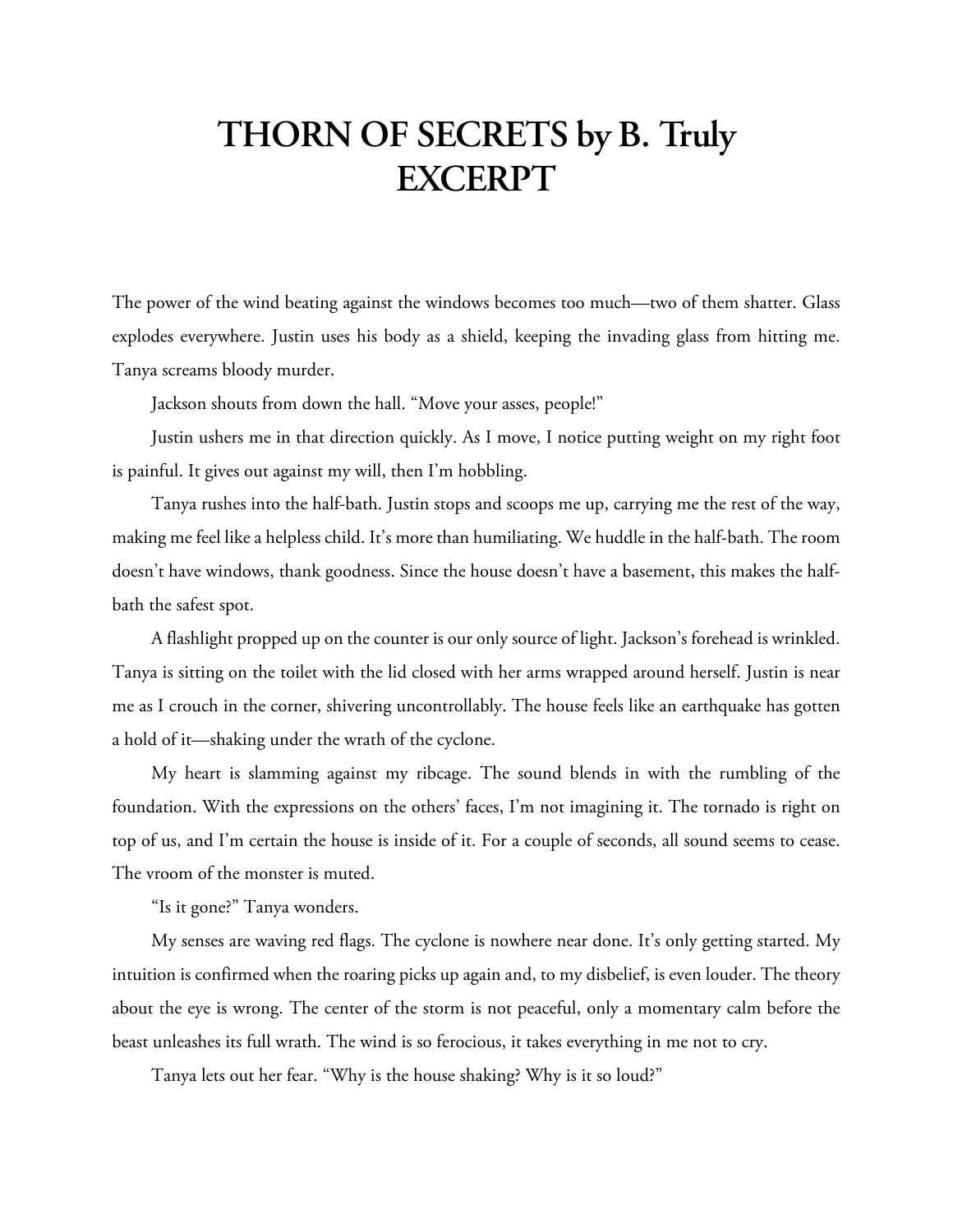## **THORN OF SECRETS by B. Truly EXCERPT**

The power of the wind beating against the windows becomes too much—two of them shatter. Glass explodes everywhere. Justin uses his body as a shield, keeping the invading glass from hitting me. Tanya screams bloody murder.

Jackson shouts from down the hall. "Move your asses, people!"

Justin ushers me in that direction quickly. As I move, I notice putting weight on my right foot is painful. It gives out against my will, then I'm hobbling.

Tanya rushes into the half-bath. Justin stops and scoops me up, carrying me the rest of the way, making me feel like a helpless child. It's more than humiliating. We huddle in the half-bath. The room doesn't have windows, thank goodness. Since the house doesn't have a basement, this makes the halfbath the safest spot.

A flashlight propped up on the counter is our only source of light. Jackson's forehead is wrinkled. Tanya is sitting on the toilet with the lid closed with her arms wrapped around herself. Justin is near me as I crouch in the corner, shivering uncontrollably. The house feels like an earthquake has gotten a hold of it—shaking under the wrath of the cyclone.

My heart is slamming against my ribcage. The sound blends in with the rumbling of the foundation. With the expressions on the others' faces, I'm not imagining it. The tornado is right on top of us, and I'm certain the house is inside of it. For a couple of seconds, all sound seems to cease. The vroom of the monster is muted.

"Is it gone?" Tanya wonders.

My senses are waving red flags. The cyclone is nowhere near done. It's only getting started. My intuition is confirmed when the roaring picks up again and, to my disbelief, is even louder. The theory about the eye is wrong. The center of the storm is not peaceful, only a momentary calm before the beast unleashes its full wrath. The wind is so ferocious, it takes everything in me not to cry.

Tanya lets out her fear. "Why is the house shaking? Why is it so loud?"